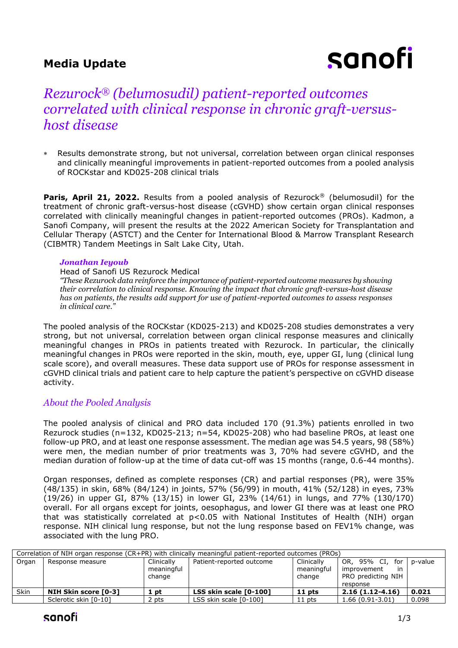# **Media Update**

# sanofi

# *Rezurock® (belumosudil) patient-reported outcomes correlated with clinical response in chronic graft-versushost disease*

 Results demonstrate strong, but not universal, correlation between organ clinical responses and clinically meaningful improvements in patient-reported outcomes from a pooled analysis of ROCKstar and KD025-208 clinical trials

**Paris, April 21, 2022.** Results from a pooled analysis of Rezurock<sup>®</sup> (belumosudil) for the treatment of chronic graft-versus-host disease (cGVHD) show certain organ clinical responses correlated with clinically meaningful changes in patient-reported outcomes (PROs). Kadmon, a Sanofi Company, will present the results at the 2022 American Society for Transplantation and Cellular Therapy (ASTCT) and the Center for International Blood & Marrow Transplant Research (CIBMTR) Tandem Meetings in Salt Lake City, Utah.

### *Jonathan Ieyoub*

#### Head of Sanofi US Rezurock Medical

*"These Rezurock data reinforce the importance of patient-reported outcome measures by showing their correlation to clinical response. Knowing the impact that chronic graft-versus-host disease has on patients, the results add support for use of patient-reported outcomes to assess responses in clinical care."*

The pooled analysis of the ROCKstar (KD025-213) and KD025-208 studies demonstrates a very strong, but not universal, correlation between organ clinical response measures and clinically meaningful changes in PROs in patients treated with Rezurock. In particular, the clinically meaningful changes in PROs were reported in the skin, mouth, eye, upper GI, lung (clinical lung scale score), and overall measures. These data support use of PROs for response assessment in cGVHD clinical trials and patient care to help capture the patient's perspective on cGVHD disease activity.

# *About the Pooled Analysis*

The pooled analysis of clinical and PRO data included 170 (91.3%) patients enrolled in two Rezurock studies (n=132, KD025-213; n=54, KD025-208) who had baseline PROs, at least one follow-up PRO, and at least one response assessment. The median age was 54.5 years, 98 (58%) were men, the median number of prior treatments was 3, 70% had severe cGVHD, and the median duration of follow-up at the time of data cut-off was 15 months (range, 0.6-44 months).

Organ responses, defined as complete responses (CR) and partial responses (PR), were 35% (48/135) in skin, 68% (84/124) in joints, 57% (56/99) in mouth, 41% (52/128) in eyes, 73% (19/26) in upper GI, 87% (13/15) in lower GI, 23% (14/61) in lungs, and 77% (130/170) overall. For all organs except for joints, oesophagus, and lower GI there was at least one PRO that was statistically correlated at p<0.05 with National Institutes of Health (NIH) organ response. NIH clinical lung response, but not the lung response based on FEV1% change, was associated with the lung PRO.

| Correlation of NIH organ response (CR+PR) with clinically meaningful patient-reported outcomes (PROs) |                             |                                    |                          |                                    |                                                                                  |         |  |  |  |  |
|-------------------------------------------------------------------------------------------------------|-----------------------------|------------------------------------|--------------------------|------------------------------------|----------------------------------------------------------------------------------|---------|--|--|--|--|
| Organ                                                                                                 | Response measure            | Clinically<br>meaningful<br>change | Patient-reported outcome | Clinically<br>meaningful<br>change | OR, 95% CI,<br>for<br>improvement<br><i>in</i><br>PRO predicting NIH<br>response | p-value |  |  |  |  |
| Skin                                                                                                  | <b>NIH Skin score [0-3]</b> | 1 pt                               | LSS skin scale [0-100]   | $11$ pts                           | $2.16(1.12-4.16)$                                                                | 0.021   |  |  |  |  |
|                                                                                                       | Sclerotic skin [0-10]       | 2 pts                              | LSS skin scale [0-100]   | 11 pts                             | $1.66(0.91-3.01)$                                                                | 0.098   |  |  |  |  |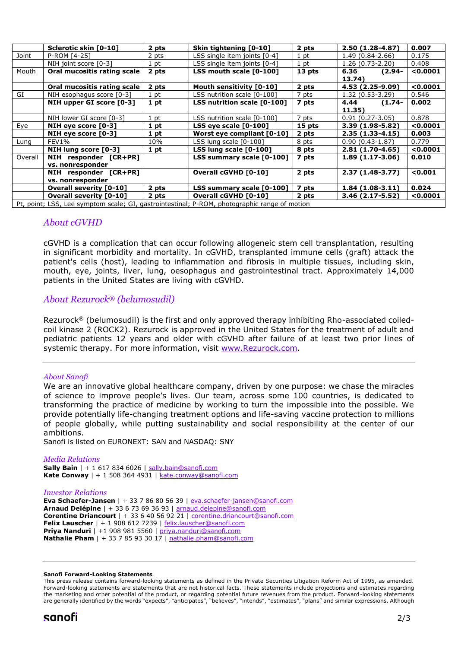|                                                                                              | Sclerotic skin [0-10]          | 2 pts | Skin tightening [0-10]          | 2 pts  | 2.50 (1.28-4.87)    | 0.007    |  |  |
|----------------------------------------------------------------------------------------------|--------------------------------|-------|---------------------------------|--------|---------------------|----------|--|--|
| Joint                                                                                        | P-ROM [4-25]                   | 2 pts | LSS single item joints [0-4]    | 1 pt   | $1.49(0.84 - 2.66)$ | 0.175    |  |  |
|                                                                                              | NIH joint score [0-3]          | 1 pt  | LSS single item joints [0-4]    | 1 pt   | $1.26(0.73-2.20)$   | 0.408    |  |  |
| Mouth                                                                                        | Oral mucositis rating scale    | 2 pts | LSS mouth scale [0-100]         | 13 pts | 6.36<br>$(2.94 -$   | < 0.0001 |  |  |
|                                                                                              |                                |       |                                 |        | 13.74)              |          |  |  |
|                                                                                              | Oral mucositis rating scale    | 2 pts | <b>Mouth sensitivity [0-10]</b> | 2 pts  | 4.53 (2.25-9.09)    | < 0.0001 |  |  |
| GI                                                                                           | NIH esophagus score [0-3]      | 1 pt  | LSS nutrition scale [0-100]     | 7 pts  | $1.32(0.53-3.29)$   | 0.546    |  |  |
|                                                                                              | NIH upper GI score [0-3]       | 1 pt  | LSS nutrition scale [0-100]     | 7 pts  | 4.44<br>$(1.74 -$   | 0.002    |  |  |
|                                                                                              |                                |       |                                 |        | 11.35)              |          |  |  |
|                                                                                              | NIH lower GI score [0-3]       | 1 pt  | LSS nutrition scale [0-100]     | 7 pts  | $0.91(0.27-3.05)$   | 0.878    |  |  |
| Eye                                                                                          | NIH eye score $[0-3]$          | 1 pt  | LSS eye scale [0-100]           | 15 pts | $3.39(1.98-5.82)$   | < 0.0001 |  |  |
|                                                                                              | NIH eye score [0-3]            | 1 pt  | Worst eye compliant [0-10]      | 2 pts  | $2.35(1.33-4.15)$   | 0.003    |  |  |
| Lung                                                                                         | FEV1%                          | 10%   | LSS lung scale [0-100]          | 8 pts  | $0.90(0.43-1.87)$   | 0.779    |  |  |
|                                                                                              | NIH lung score [0-3]           | 1 pt  | LSS lung scale [0-100]          | 8 pts  | $2.81(1.70-4.65)$   | < 0.0001 |  |  |
| Overall                                                                                      | NIH responder [CR+PR]          |       | LSS summary scale [0-100]       | 7 pts  | $1.89(1.17-3.06)$   | 0.010    |  |  |
|                                                                                              | vs. nonresponder               |       |                                 |        |                     |          |  |  |
|                                                                                              | NIH responder [CR+PR]          |       | <b>Overall cGVHD [0-10]</b>     | 2 pts  | $2.37(1.48-3.77)$   | < 0.001  |  |  |
|                                                                                              | vs. nonresponder               |       |                                 |        |                     |          |  |  |
|                                                                                              | <b>Overall severity [0-10]</b> | 2 pts | LSS summary scale [0-100]       | 7 pts  | $1.84(1.08-3.11)$   | 0.024    |  |  |
|                                                                                              | <b>Overall severity [0-10]</b> | 2 pts | <b>Overall cGVHD [0-10]</b>     | 2 pts  | $3.46(2.17 - 5.52)$ | 0.0001   |  |  |
| Pt, point; LSS, Lee symptom scale; GI, gastrointestinal; P-ROM, photographic range of motion |                                |       |                                 |        |                     |          |  |  |

# *About cGVHD*

cGVHD is a complication that can occur following allogeneic stem cell transplantation, resulting in significant morbidity and mortality. In cGVHD, transplanted immune cells (graft) attack the patient's cells (host), leading to inflammation and fibrosis in multiple tissues, including skin, mouth, eye, joints, liver, lung, oesophagus and gastrointestinal tract. Approximately 14,000 patients in the United States are living with cGVHD.

# *About Rezurock® (belumosudil)*

Rezurock® (belumosudil) is the first and only approved therapy inhibiting Rho-associated coiledcoil kinase 2 (ROCK2). Rezurock is approved in the United States for the treatment of adult and pediatric patients 12 years and older with cGVHD after failure of at least two prior lines of systemic therapy. For more information, visit [www.Rezurock.com.](http://www.rezurock.com/)

## *About Sanofi*

We are an innovative global healthcare company, driven by one purpose: we chase the miracles of science to improve people's lives. Our team, across some 100 countries, is dedicated to transforming the practice of medicine by working to turn the impossible into the possible. We provide potentially life-changing treatment options and life-saving vaccine protection to millions of people globally, while putting sustainability and social responsibility at the center of our ambitions.

Sanofi is listed on EURONEXT: SAN and NASDAQ: SNY

#### *Media Relations*

**Sally Bain** | + 1 617 834 6026 | [sally.bain@sanofi.com](mailto:sally.bain@sanofi.com) **Kate Conway** | + 1 508 364 4931 | [kate.conway@sanofi.com](mailto:kate.conway@sanofi.com)

#### *Investor Relations*

**Eva Schaefer-Jansen** | + 33 7 86 80 56 39 | [eva.schaefer-jansen@sanofi.com](mailto:eva.schaefer-jansen@sanofi.com) **Arnaud Delépine** | + 33 6 73 69 36 93 | [arnaud.delepine@sanofi.com](mailto:arnaud.delepine@sanofi.com) **Corentine Driancourt** | + 33 6 40 56 92 21 | [corentine.driancourt@sanofi.com](mailto:corentine.driancourt@sanofi.com) **Felix Lauscher** | + 1 908 612 7239 | [felix.lauscher@sanofi.com](mailto:felix.lauscher@sanofi.com) **Priya Nanduri** | +1 908 981 5560 | [priya.nanduri@sanofi.com](mailto:priya.nanduri@sanofi.com) **Nathalie Pham** | + 33 7 85 93 30 17 | [nathalie.pham@sanofi.com](mailto:nathalie.pham@sanofi.com)

#### **Sanofi Forward-Looking Statements**

This press release contains forward-looking statements as defined in the Private Securities Litigation Reform Act of 1995, as amended. Forward-looking statements are statements that are not historical facts. These statements include projections and estimates regarding the marketing and other potential of the product, or regarding potential future revenues from the product. Forward-looking statements are generally identified by the words "expects", "anticipates", "believes", "intends", "estimates", "plans" and similar expressions. Although